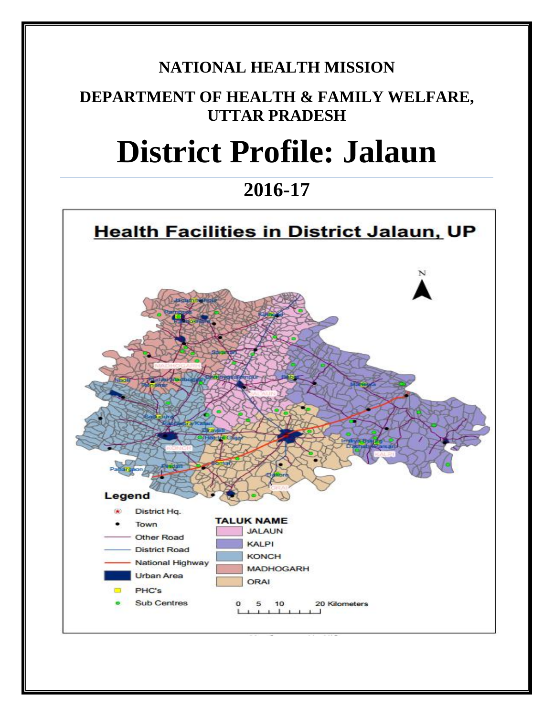## **NATIONAL HEALTH MISSION**

## **DEPARTMENT OF HEALTH & FAMILY WELFARE, UTTAR PRADESH**

# **District Profile: Jalaun**

## **2016-17**

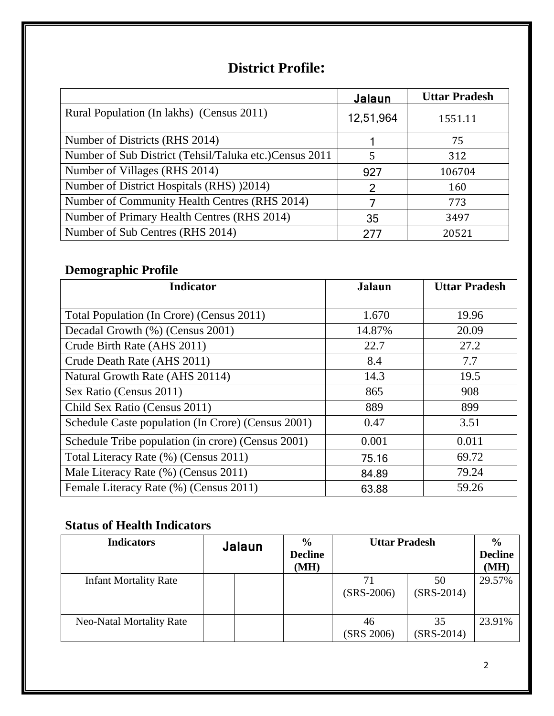## **District Profile:**

|                                                        | Jalaun    | <b>Uttar Pradesh</b> |
|--------------------------------------------------------|-----------|----------------------|
| Rural Population (In lakhs) (Census 2011)              | 12,51,964 | 1551.11              |
| Number of Districts (RHS 2014)                         |           | 75                   |
| Number of Sub District (Tehsil/Taluka etc.)Census 2011 | 5         | 312                  |
| Number of Villages (RHS 2014)                          | 927       | 106704               |
| Number of District Hospitals (RHS) (2014)              | 2         | 160                  |
| Number of Community Health Centres (RHS 2014)          |           | 773                  |
| Number of Primary Health Centres (RHS 2014)            | 35        | 3497                 |
| Number of Sub Centres (RHS 2014)                       | 277       | 20521                |

### **Demographic Profile**

| <b>Indicator</b>                                   | <b>Jalaun</b> | <b>Uttar Pradesh</b> |
|----------------------------------------------------|---------------|----------------------|
|                                                    |               |                      |
| Total Population (In Crore) (Census 2011)          | 1.670         | 19.96                |
| Decadal Growth (%) (Census 2001)                   | 14.87%        | 20.09                |
| Crude Birth Rate (AHS 2011)                        | 22.7          | 27.2                 |
| Crude Death Rate (AHS 2011)                        | 8.4           | 7.7                  |
| Natural Growth Rate (AHS 20114)                    | 14.3          | 19.5                 |
| Sex Ratio (Census 2011)                            | 865           | 908                  |
| Child Sex Ratio (Census 2011)                      | 889           | 899                  |
| Schedule Caste population (In Crore) (Census 2001) | 0.47          | 3.51                 |
| Schedule Tribe population (in crore) (Census 2001) | 0.001         | 0.011                |
| Total Literacy Rate (%) (Census 2011)              | 75.16         | 69.72                |
| Male Literacy Rate (%) (Census 2011)               | 84.89         | 79.24                |
| Female Literacy Rate (%) (Census 2011)             | 63.88         | 59.26                |

#### **Status of Health Indicators**

| <b>Indicators</b>               | Jalaun | $\frac{6}{9}$<br><b>Decline</b><br>(MH) | <b>Uttar Pradesh</b> |                    | $\frac{0}{0}$<br><b>Decline</b><br>(MH) |
|---------------------------------|--------|-----------------------------------------|----------------------|--------------------|-----------------------------------------|
| <b>Infant Mortality Rate</b>    |        |                                         | 71<br>$(SRS-2006)$   | 50<br>$(SRS-2014)$ | 29.57%                                  |
| <b>Neo-Natal Mortality Rate</b> |        |                                         | 46<br>(SRS 2006)     | 35<br>$(SRS-2014)$ | 23.91%                                  |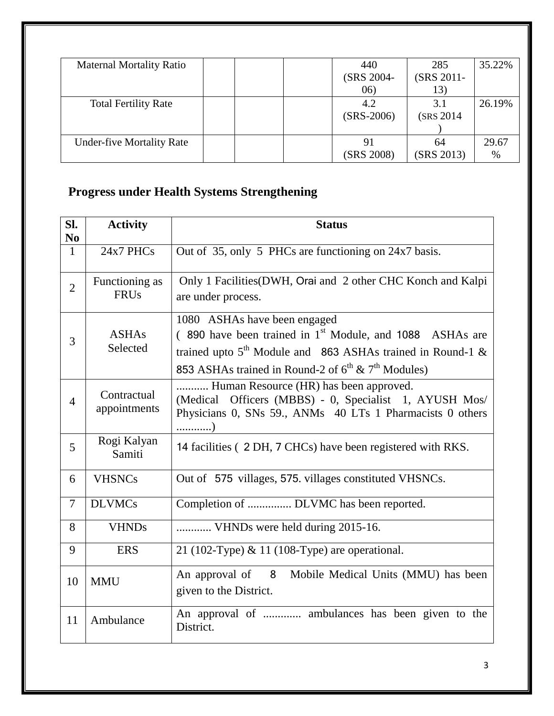| <b>Maternal Mortality Ratio</b>  | 440<br>285                 | 35.22% |
|----------------------------------|----------------------------|--------|
|                                  | (SRS 2011-<br>(SRS 2004-   |        |
|                                  | (06)<br>13)                |        |
| <b>Total Fertility Rate</b>      | 4.2<br>3.1                 | 26.19% |
|                                  | $(SRS-2006)$<br>(SRS 2014) |        |
|                                  |                            |        |
| <b>Under-five Mortality Rate</b> | 91<br>64                   | 29.67  |
|                                  | (SRS 2013)<br>(SRS 2008)   | $\%$   |

## **Progress under Health Systems Strengthening**

| SI.<br>N <sub>0</sub> | <b>Activity</b>               | <b>Status</b>                                                                                                                                                                                                                        |  |  |
|-----------------------|-------------------------------|--------------------------------------------------------------------------------------------------------------------------------------------------------------------------------------------------------------------------------------|--|--|
| $\mathbf{1}$          | 24x7 PHCs                     | Out of 35, only 5 PHCs are functioning on 24x7 basis.                                                                                                                                                                                |  |  |
| $\overline{2}$        | Functioning as<br><b>FRUs</b> | Only 1 Facilities (DWH, Orai and 2 other CHC Konch and Kalpi<br>are under process.                                                                                                                                                   |  |  |
| 3                     | <b>ASHAs</b><br>Selected      | 1080 ASHAs have been engaged<br>(890 have been trained in 1 <sup>st</sup> Module, and 1088 ASHAs are<br>trained upto $5th$ Module and 863 ASHAs trained in Round-1 &<br>853 ASHAs trained in Round-2 of $6^{th}$ & $7^{th}$ Modules) |  |  |
| $\overline{4}$        | Contractual<br>appointments   | Human Resource (HR) has been approved.<br>(Medical Officers (MBBS) - 0, Specialist 1, AYUSH Mos/<br>Physicians 0, SNs 59., ANMs 40 LTs 1 Pharmacists 0 others<br>)                                                                   |  |  |
| 5                     | Rogi Kalyan<br>Samiti         | 14 facilities (2 DH, 7 CHCs) have been registered with RKS.                                                                                                                                                                          |  |  |
| 6                     | <b>VHSNCs</b>                 | Out of 575 villages, 575. villages constituted VHSNCs.                                                                                                                                                                               |  |  |
| $\overline{7}$        | <b>DLVMCs</b>                 | Completion of  DLVMC has been reported.                                                                                                                                                                                              |  |  |
| 8                     | <b>VHNDs</b>                  | VHNDs were held during 2015-16.                                                                                                                                                                                                      |  |  |
| 9                     | <b>ERS</b>                    | 21 (102-Type) & 11 (108-Type) are operational.                                                                                                                                                                                       |  |  |
| 10                    | <b>MMU</b>                    | An approval of 8 Mobile Medical Units (MMU) has been<br>given to the District.                                                                                                                                                       |  |  |
| 11                    | Ambulance                     | An approval of  ambulances has been given to the<br>District.                                                                                                                                                                        |  |  |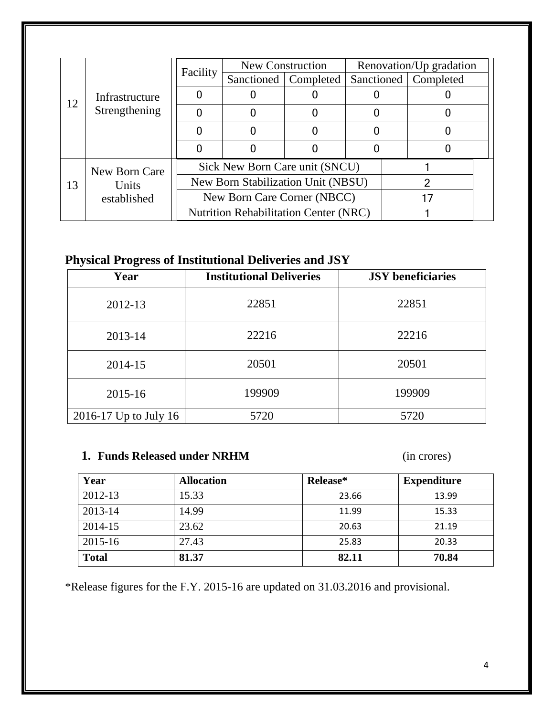|                |                     |                                              | New Construction               |  |                        | Renovation/Up gradation |  |
|----------------|---------------------|----------------------------------------------|--------------------------------|--|------------------------|-------------------------|--|
| Infrastructure | Facility            | <b>Sanctioned</b>                            | Completed                      |  | Sanctioned   Completed |                         |  |
|                |                     |                                              |                                |  |                        |                         |  |
|                | 12<br>Strengthening |                                              |                                |  |                        |                         |  |
|                |                     |                                              |                                |  |                        |                         |  |
|                |                     |                                              |                                |  |                        |                         |  |
|                | New Born Care       |                                              | Sick New Born Care unit (SNCU) |  |                        |                         |  |
| 13             | Units               | New Born Stabilization Unit (NBSU)           |                                |  |                        |                         |  |
|                | established         | New Born Care Corner (NBCC)                  |                                |  |                        |                         |  |
|                |                     | <b>Nutrition Rehabilitation Center (NRC)</b> |                                |  |                        |                         |  |

### **Physical Progress of Institutional Deliveries and JSY**

| Year                      | <b>Institutional Deliveries</b> | <b>JSY</b> beneficiaries |
|---------------------------|---------------------------------|--------------------------|
| 2012-13                   | 22851                           | 22851                    |
| 2013-14                   | 22216                           | 22216                    |
| 2014-15                   | 20501                           | 20501                    |
| $2015 - 16$               | 199909                          | 199909                   |
| $2016 - 17$ Up to July 16 | 5720                            | 5720                     |

#### **1. Funds Released under NRHM** (in crores)

| Year         | <b>Allocation</b> | Release* | <b>Expenditure</b> |
|--------------|-------------------|----------|--------------------|
| 2012-13      | 15.33             | 23.66    | 13.99              |
| 2013-14      | 14.99             | 11.99    | 15.33              |
| 2014-15      | 23.62             | 20.63    | 21.19              |
| $2015 - 16$  | 27.43             | 25.83    | 20.33              |
| <b>Total</b> | 81.37             | 82.11    | 70.84              |

\*Release figures for the F.Y. 2015-16 are updated on 31.03.2016 and provisional.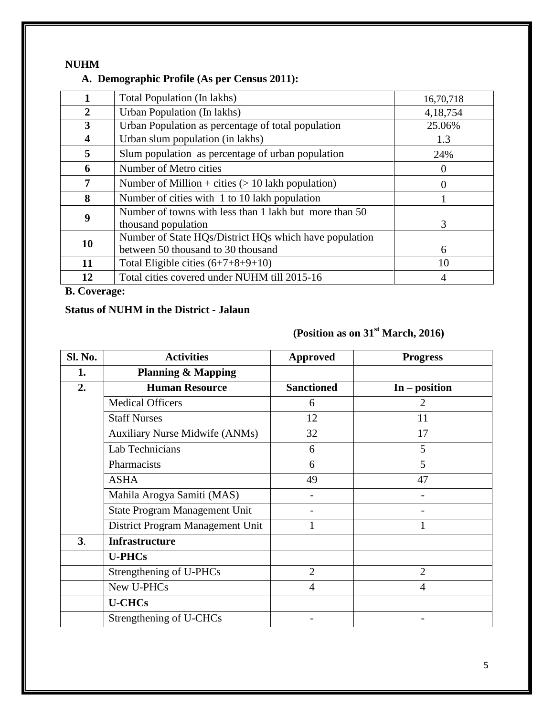#### **NUHM**

#### **A. Demographic Profile (As per Census 2011):**

|    | Total Population (In lakhs)                                                                  | 16,70,718        |
|----|----------------------------------------------------------------------------------------------|------------------|
| 2  | Urban Population (In lakhs)                                                                  | 4,18,754         |
| 3  | Urban Population as percentage of total population                                           | 25.06%           |
| 4  | Urban slum population (in lakhs)                                                             | 1.3              |
| 5  | Slum population as percentage of urban population                                            | 24%              |
| 6  | Number of Metro cities                                                                       | $\theta$         |
| 7  | Number of Million + cities $(> 10$ lakh population)                                          | $\left( \right)$ |
| 8  | Number of cities with 1 to 10 lakh population                                                |                  |
| 9  | Number of towns with less than 1 lakh but more than 50<br>thousand population                | 3                |
| 10 | Number of State HQs/District HQs which have population<br>between 50 thousand to 30 thousand | 6                |
| 11 | Total Eligible cities $(6+7+8+9+10)$                                                         | 10               |
| 12 | Total cities covered under NUHM till 2015-16                                                 | 4                |

**B. Coverage:**

#### **Status of NUHM in the District - Jalaun**

### **(Position as on 31st March, 2016)**

| Sl. No.        | <b>Activities</b>                     | <b>Approved</b>   | <b>Progress</b> |
|----------------|---------------------------------------|-------------------|-----------------|
| 1.             | <b>Planning &amp; Mapping</b>         |                   |                 |
| 2.             | <b>Human Resource</b>                 | <b>Sanctioned</b> | $In - position$ |
|                | <b>Medical Officers</b>               | 6                 | $\overline{2}$  |
|                | <b>Staff Nurses</b>                   | 12                | 11              |
|                | <b>Auxiliary Nurse Midwife (ANMs)</b> | 32                | 17              |
|                | Lab Technicians                       | 6                 | 5               |
|                | Pharmacists                           | 6                 | 5               |
|                | <b>ASHA</b>                           | 49                | 47              |
|                | Mahila Arogya Samiti (MAS)            |                   |                 |
|                | State Program Management Unit         |                   |                 |
|                | District Program Management Unit      |                   |                 |
| 3 <sub>1</sub> | <b>Infrastructure</b>                 |                   |                 |
|                | <b>U-PHCs</b>                         |                   |                 |
|                | Strengthening of U-PHCs               | $\overline{2}$    | $\overline{2}$  |
|                | New U-PHCs                            | $\overline{4}$    | $\overline{4}$  |
|                | <b>U-CHCs</b>                         |                   |                 |
|                | Strengthening of U-CHCs               |                   |                 |